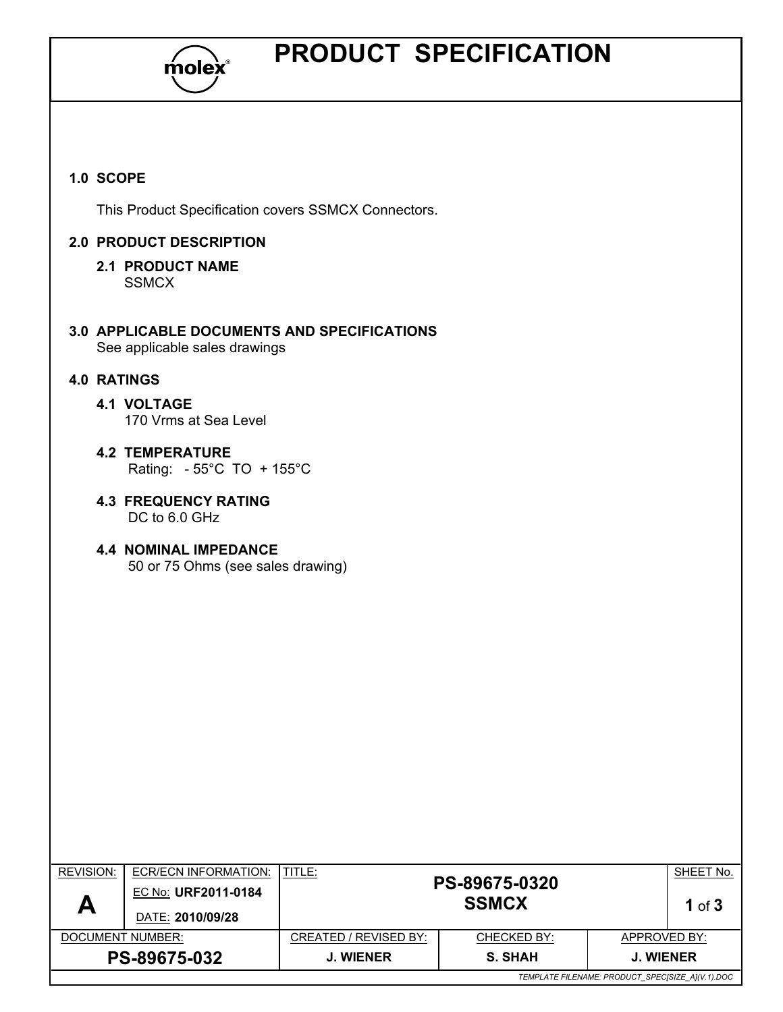

## PRODUCT SPECIFICATION

#### 1.0 SCOPE

This Product Specification covers SSMCX Connectors.

#### 2.0 PRODUCT DESCRIPTION

#### 2.1 PRODUCT NAME **SSMCX**

3.0 APPLICABLE DOCUMENTS AND SPECIFICATIONS See applicable sales drawings

#### 4.0 RATINGS

- 4.1 VOLTAGE 170 Vrms at Sea Level
- 4.2 TEMPERATURE Rating: - 55°C TO + 155°C
- 4.3 FREQUENCY RATING DC to 6.0 GHz
- 4.4 NOMINAL IMPEDANCE 50 or 75 Ohms (see sales drawing)

| <b>REVISION:</b><br>Α                            | ECR/ECN INFORMATION:<br>EC No: URF2011-0184<br>DATE: 2010/09/28 | TITLE:                | PS-89675-0320<br><b>SSMCX</b> |                  | SHEET No.<br>1 of $3$ |
|--------------------------------------------------|-----------------------------------------------------------------|-----------------------|-------------------------------|------------------|-----------------------|
| DOCUMENT NUMBER:                                 |                                                                 | CREATED / REVISED BY: | <b>CHECKED BY:</b>            | APPROVED BY:     |                       |
| PS-89675-032                                     |                                                                 | <b>J. WIENER</b>      | <b>S. SHAH</b>                | <b>J. WIENER</b> |                       |
| TEMPLATE FILENAME: PRODUCT_SPEC[SIZE_A](V.1).DOC |                                                                 |                       |                               |                  |                       |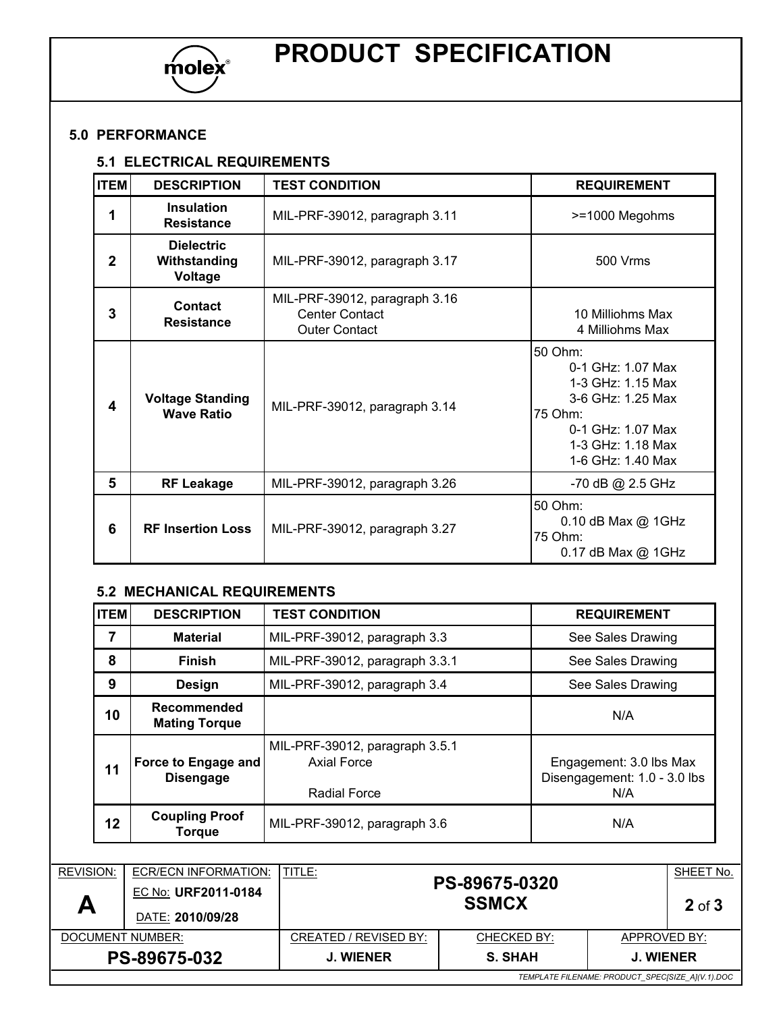

# PRODUCT SPECIFICATION

#### 5.0 PERFORMANCE

#### 5.1 ELECTRICAL REQUIREMENTS

| <b>ITEM</b>  | <b>DESCRIPTION</b>                           | <b>TEST CONDITION</b>                                                          | <b>REQUIREMENT</b>                                                                                                                                   |
|--------------|----------------------------------------------|--------------------------------------------------------------------------------|------------------------------------------------------------------------------------------------------------------------------------------------------|
| 1            | <b>Insulation</b><br><b>Resistance</b>       | MIL-PRF-39012, paragraph 3.11                                                  | >=1000 Megohms                                                                                                                                       |
| $\mathbf{2}$ | <b>Dielectric</b><br>Withstanding<br>Voltage | MIL-PRF-39012, paragraph 3.17                                                  | 500 Vrms                                                                                                                                             |
| 3            | Contact<br><b>Resistance</b>                 | MIL-PRF-39012, paragraph 3.16<br><b>Center Contact</b><br><b>Outer Contact</b> | 10 Milliohms Max<br>4 Milliohms Max                                                                                                                  |
| 4            | <b>Voltage Standing</b><br><b>Wave Ratio</b> | MIL-PRF-39012, paragraph 3.14                                                  | 50 Ohm:<br>$0-1$ GHz: 1.07 Max<br>1-3 GHz: 1.15 Max<br>3-6 GHz: 1.25 Max<br>75 Ohm:<br>$0-1$ GHz: 1.07 Max<br>1-3 GHz: 1.18 Max<br>1-6 GHz: 1.40 Max |
| 5            | <b>RF Leakage</b>                            | MIL-PRF-39012, paragraph 3.26                                                  | -70 dB @ 2.5 GHz                                                                                                                                     |
| 6            | <b>RF Insertion Loss</b>                     | MIL-PRF-39012, paragraph 3.27                                                  | 50 Ohm:<br>0.10 dB Max @ 1GHz<br>75 Ohm:<br>0.17 dB Max @ 1GHz                                                                                       |

#### 5.2 MECHANICAL REQUIREMENTS

| <b>ITEM</b>                                                     | <b>DESCRIPTION</b>                      | <b>TEST CONDITION</b>                                                       | <b>REQUIREMENT</b>                                                           |                         |  |
|-----------------------------------------------------------------|-----------------------------------------|-----------------------------------------------------------------------------|------------------------------------------------------------------------------|-------------------------|--|
| 7                                                               | <b>Material</b>                         | MIL-PRF-39012, paragraph 3.3                                                | See Sales Drawing                                                            |                         |  |
| 8                                                               | <b>Finish</b>                           | MIL-PRF-39012, paragraph 3.3.1                                              | See Sales Drawing                                                            |                         |  |
| 9                                                               | <b>Design</b>                           | MIL-PRF-39012, paragraph 3.4                                                |                                                                              | See Sales Drawing       |  |
| 10                                                              | Recommended<br><b>Mating Torque</b>     |                                                                             | N/A<br>Engagement: 3.0 lbs Max<br>Disengagement: 1.0 - 3.0 lbs<br>N/A<br>N/A |                         |  |
| 11                                                              | Force to Engage and<br><b>Disengage</b> | MIL-PRF-39012, paragraph 3.5.1<br><b>Axial Force</b><br><b>Radial Force</b> |                                                                              |                         |  |
| 12                                                              | <b>Coupling Proof</b><br><b>Torque</b>  | MIL-PRF-39012, paragraph 3.6                                                |                                                                              |                         |  |
|                                                                 |                                         |                                                                             |                                                                              |                         |  |
| <b>REVISION:</b><br>ECR/ECN INFORMATION:<br>EC No: URF2011-0184 |                                         | TITLE:<br>PS-89675-0320<br><b>SSMCX</b>                                     |                                                                              | SHEET No.<br>$2$ of $3$ |  |
|                                                                 | DATE: 2010/09/28                        |                                                                             |                                                                              |                         |  |

| Л                                                | DATE: 2010/09/28 |                       | OOMUA       | ∠ ০া ১           |
|--------------------------------------------------|------------------|-----------------------|-------------|------------------|
| DOCUMENT NUMBER:                                 |                  | CREATED / REVISED BY: | CHECKED BY: | APPROVED BY:     |
| <b>PS-89675-032</b>                              |                  | <b>J. WIENER</b>      | S. SHAH     | <b>J. WIENER</b> |
| TEMPLATE FILENAME: PRODUCT_SPEC[SIZE_A](V.1).DOC |                  |                       |             |                  |